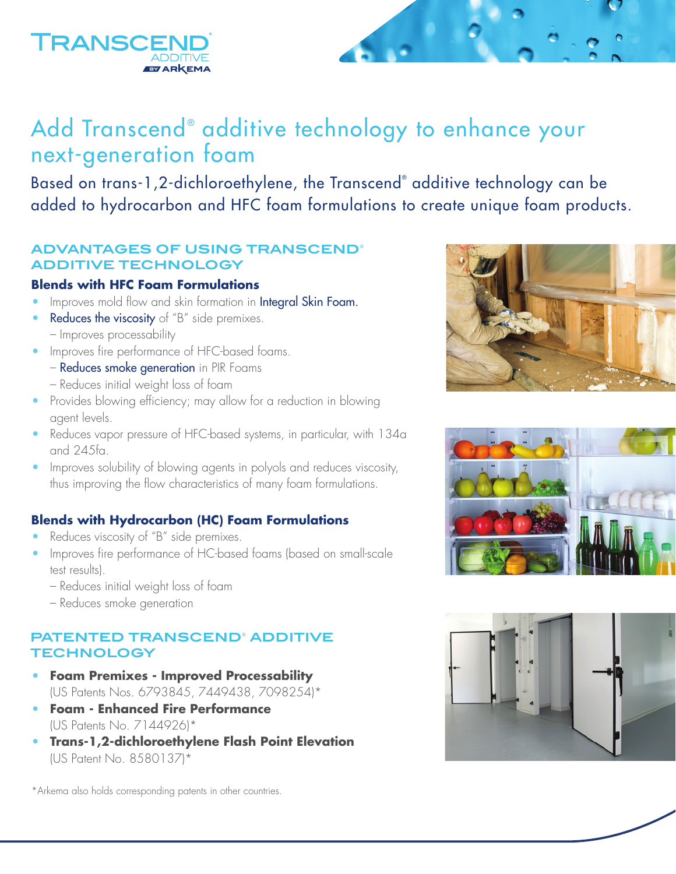# Add Transcend® additive technology to enhance your next-generation foam

Based on trans-1,2-dichloroethylene, the Transcend® additive technology can be added to hydrocarbon and HFC foam formulations to create unique foam products.

# **ADVANTAGES OF USING TRANSCEND® ADDITIVE TECHNOLOGY**

### **Blends with HFC Foam Formulations**

- **•** Improves mold flow and skin formation in Integral Skin Foam.
- **Reduces the viscosity** of "B" side premixes.
	- Improves processability
- **•** Improves fire performance of HFC-based foams.
	- Reduces smoke generation in PIR Foams – Reduces initial weight loss of foam
- Provides blowing efficiency; may allow for a reduction in blowing agent levels.
- **•** Reduces vapor pressure of HFC-based systems, in particular, with 134a and 245fa.
- **•** Improves solubility of blowing agents in polyols and reduces viscosity, thus improving the flow characteristics of many foam formulations.

# **Blends with Hydrocarbon (HC) Foam Formulations**

- **•** Reduces viscosity of "B" side premixes.
- **•** Improves fire performance of HC-based foams (based on small-scale test results).
	- Reduces initial weight loss of foam
	- Reduces smoke generation

## **PATENTED TRANSCEND® ADDITIVE TECHNOLOGY**

- **• Foam Premixes Improved Processability** (US Patents Nos. 6793845, 7449438, 7098254)\*
- **• Foam Enhanced Fire Performance** (US Patents No. 7144926)\*
- **• Trans-1,2-dichloroethylene Flash Point Elevation** (US Patent No. 8580137)\*

\*Arkema also holds corresponding patents in other countries.